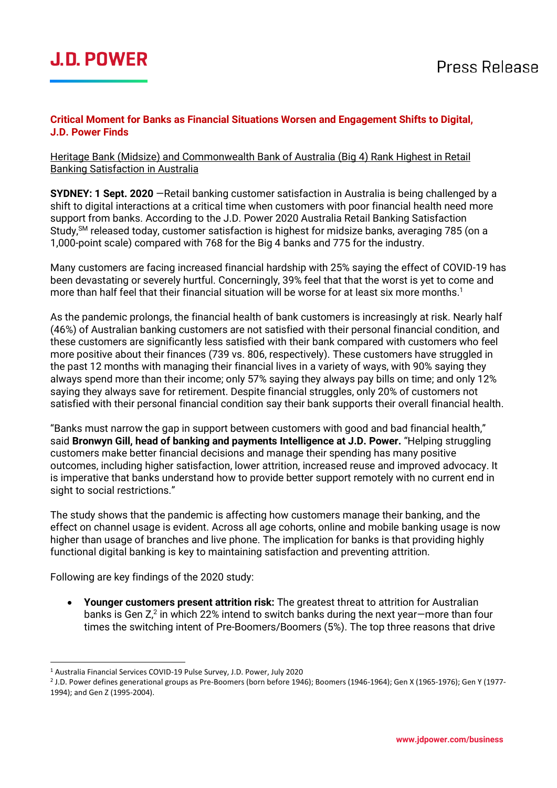# **J.D. POWER**

#### **Critical Moment for Banks as Financial Situations Worsen and Engagement Shifts to Digital, J.D. Power Finds**

Heritage Bank (Midsize) and Commonwealth Bank of Australia (Big 4) Rank Highest in Retail Banking Satisfaction in Australia

**SYDNEY: 1 Sept. 2020** —Retail banking customer satisfaction in Australia is being challenged by a shift to digital interactions at a critical time when customers with poor financial health need more support from banks. According to the J.D. Power 2020 Australia Retail Banking Satisfaction Study,<sup>SM</sup> released today, customer satisfaction is highest for midsize banks, averaging 785 (on a 1,000-point scale) compared with 768 for the Big 4 banks and 775 for the industry.

Many customers are facing increased financial hardship with 25% saying the effect of COVID-19 has been devastating or severely hurtful. Concerningly, 39% feel that that the worst is yet to come and more than half feel that their financial situation will be worse for at least six more months.<sup>1</sup>

As the pandemic prolongs, the financial health of bank customers is increasingly at risk. Nearly half (46%) of Australian banking customers are not satisfied with their personal financial condition, and these customers are significantly less satisfied with their bank compared with customers who feel more positive about their finances (739 vs. 806, respectively). These customers have struggled in the past 12 months with managing their financial lives in a variety of ways, with 90% saying they always spend more than their income; only 57% saying they always pay bills on time; and only 12% saying they always save for retirement. Despite financial struggles, only 20% of customers not satisfied with their personal financial condition say their bank supports their overall financial health.

"Banks must narrow the gap in support between customers with good and bad financial health," said **Bronwyn Gill, head of banking and payments Intelligence at J.D. Power.** "Helping struggling customers make better financial decisions and manage their spending has many positive outcomes, including higher satisfaction, lower attrition, increased reuse and improved advocacy. It is imperative that banks understand how to provide better support remotely with no current end in sight to social restrictions."

The study shows that the pandemic is affecting how customers manage their banking, and the effect on channel usage is evident. Across all age cohorts, online and mobile banking usage is now higher than usage of branches and live phone. The implication for banks is that providing highly functional digital banking is key to maintaining satisfaction and preventing attrition.

Following are key findings of the 2020 study:

• **Younger customers present attrition risk:** The greatest threat to attrition for Australian banks is Gen  $Z^2$  in which 22% intend to switch banks during the next year–more than four times the switching intent of Pre-Boomers/Boomers (5%). The top three reasons that drive

<sup>&</sup>lt;sup>1</sup> Australia Financial Services COVID-19 Pulse Survey, J.D. Power, July 2020

<sup>2</sup> J.D. Power defines generational groups as Pre-Boomers (born before 1946); Boomers (1946-1964); Gen X (1965-1976); Gen Y (1977- 1994); and Gen Z (1995-2004).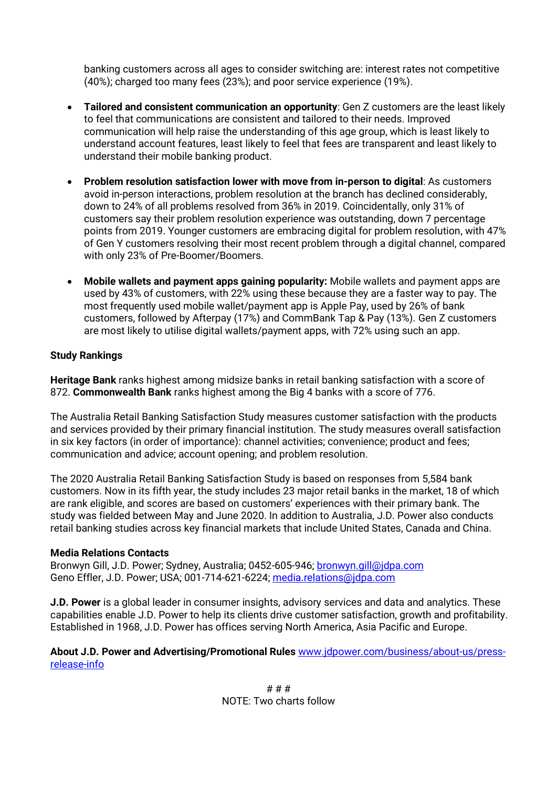banking customers across all ages to consider switching are: interest rates not competitive (40%); charged too many fees (23%); and poor service experience (19%).

- **Tailored and consistent communication an opportunity**: Gen Z customers are the least likely to feel that communications are consistent and tailored to their needs. Improved communication will help raise the understanding of this age group, which is least likely to understand account features, least likely to feel that fees are transparent and least likely to understand their mobile banking product.
- **Problem resolution satisfaction lower with move from in-person to digital**: As customers avoid in-person interactions, problem resolution at the branch has declined considerably, down to 24% of all problems resolved from 36% in 2019. Coincidentally, only 31% of customers say their problem resolution experience was outstanding, down 7 percentage points from 2019. Younger customers are embracing digital for problem resolution, with 47% of Gen Y customers resolving their most recent problem through a digital channel, compared with only 23% of Pre-Boomer/Boomers.
- **Mobile wallets and payment apps gaining popularity:** Mobile wallets and payment apps are used by 43% of customers, with 22% using these because they are a faster way to pay. The most frequently used mobile wallet/payment app is Apple Pay, used by 26% of bank customers, followed by Afterpay (17%) and CommBank Tap & Pay (13%). Gen Z customers are most likely to utilise digital wallets/payment apps, with 72% using such an app.

#### **Study Rankings**

**Heritage Bank** ranks highest among midsize banks in retail banking satisfaction with a score of 872. **Commonwealth Bank** ranks highest among the Big 4 banks with a score of 776.

The Australia Retail Banking Satisfaction Study measures customer satisfaction with the products and services provided by their primary financial institution. The study measures overall satisfaction in six key factors (in order of importance): channel activities; convenience; product and fees; communication and advice; account opening; and problem resolution.

The 2020 Australia Retail Banking Satisfaction Study is based on responses from 5,584 bank customers. Now in its fifth year, the study includes 23 major retail banks in the market, 18 of which are rank eligible, and scores are based on customers' experiences with their primary bank. The study was fielded between May and June 2020. In addition to Australia, J.D. Power also conducts retail banking studies across key financial markets that include United States, Canada and China.

#### **Media Relations Contacts**

Bronwyn Gill, J.D. Power; Sydney, Australia; 0452-605-946[; bronwyn.gill@jdpa.com](mailto:bronwyn.gill@jdpa.com) Geno Effler, J.D. Power; USA; 001-714-621-6224; media.relations@jdpa.com

**J.D. Power** is a global leader in consumer insights, advisory services and data and analytics. These capabilities enable J.D. Power to help its clients drive customer satisfaction, growth and profitability. Established in 1968, J.D. Power has offices serving North America, Asia Pacific and Europe.

#### **About J.D. Power and Advertising/Promotional Rules** [www.jdpower.com/business/about-us/press](http://www.jdpower.com/business/about-us/press-release-info)[release-info](http://www.jdpower.com/business/about-us/press-release-info)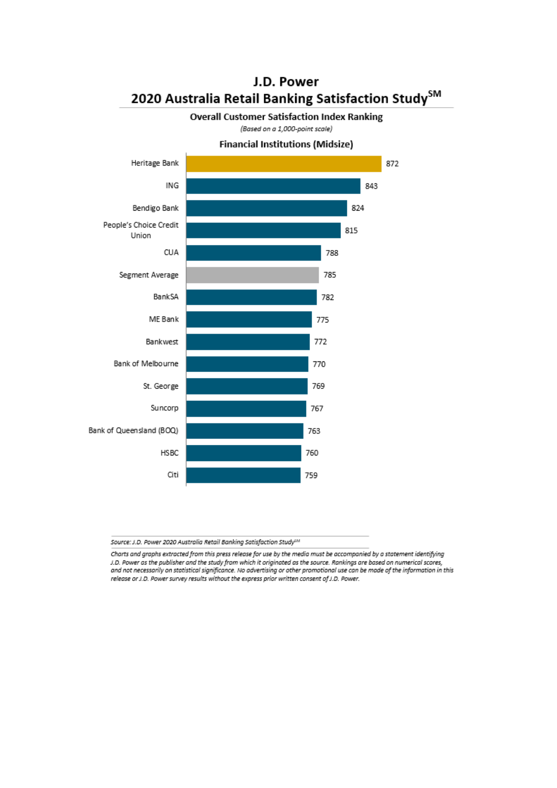

## J.D. Power 2020 Australia Retail Banking Satisfaction Study<sup>SM</sup>

Source: J.D. Power 2020 Australia Retail Banking Satisfaction Study<sup>6M</sup>

Charts and graphs extracted from this press release for use by the media must be accompanied by a statement identifying J.D. Power as the publisher and the study from which it originated as the source. Rankings are based on numerical scores, and not necessarily on statistical significance. No advertising or other promotional use can be made of the information in this release or J.D. Power survey results without the express prior written consent of J.D. Power.